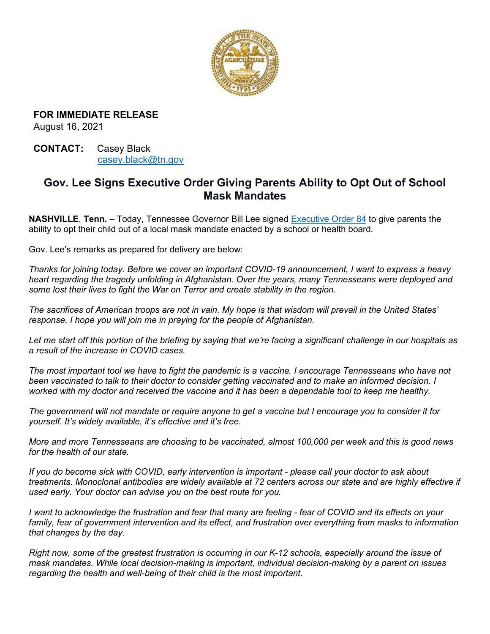

**FOR IMMEDIATE RELEASE** August 16, 2021

**CONTACT:** Casey Black [casey.black@tn.gov](mailto:casey.black@tn.gov)

## **Gov. Lee Signs Executive Order Giving Parents Ability to Opt Out of School Mask Mandates**

**NASHVILLE**, **Tenn.** – Today, Tennessee Governor Bill Lee signed [Executive Order 84](https://www.tn.gov/content/dam/tn/governorsoffice-documents/governorlee-documents/EO84.pdf) to give parents the ability to opt their child out of a local mask mandate enacted by a school or health board.

Gov. Lee's remarks as prepared for delivery are below:

*Thanks for joining today. Before we cover an important COVID-19 announcement, I want to express a heavy heart regarding the tragedy unfolding in Afghanistan. Over the years, many Tennesseans were deployed and some lost their lives to fight the War on Terror and create stability in the region.* 

*The sacrifices of American troops are not in vain. My hope is that wisdom will prevail in the United States' response. I hope you will join me in praying for the people of Afghanistan.* 

*Let me start off this portion of the briefing by saying that we're facing a significant challenge in our hospitals as a result of the increase in COVID cases.* 

*The most important tool we have to fight the pandemic is a vaccine. I encourage Tennesseans who have not been vaccinated to talk to their doctor to consider getting vaccinated and to make an informed decision. I worked with my doctor and received the vaccine and it has been a dependable tool to keep me healthy.* 

*The government will not mandate or require anyone to get a vaccine but I encourage you to consider it for yourself. It's widely available, it's effective and it's free.* 

*More and more Tennesseans are choosing to be vaccinated, almost 100,000 per week and this is good news for the health of our state.* 

*If you do become sick with COVID, early intervention is important - please call your doctor to ask about treatments. Monoclonal antibodies are widely available at 72 centers across our state and are highly effective if used early. Your doctor can advise you on the best route for you.* 

*I want to acknowledge the frustration and fear that many are feeling - fear of COVID and its effects on your family, fear of government intervention and its effect, and frustration over everything from masks to information that changes by the day.* 

*Right now, some of the greatest frustration is occurring in our K-12 schools, especially around the issue of mask mandates. While local decision-making is important, individual decision-making by a parent on issues regarding the health and well-being of their child is the most important.*